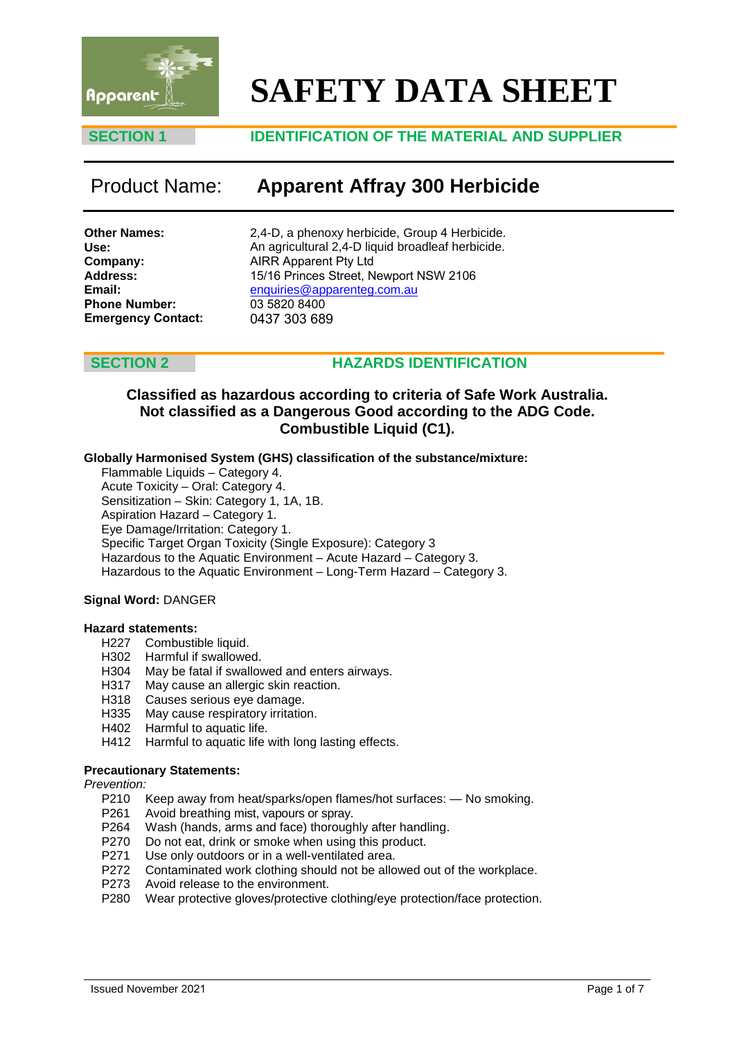

# **SAFETY DATA SHEET**

### **SECTION 1 IDENTIFICATION OF THE MATERIAL AND SUPPLIER**

# Product Name: **Apparent Affray 300 Herbicide**

**Other Names: Use: Company: Address: Email: Phone Number: Emergency Contact:**  2,4-D, a phenoxy herbicide, Group 4 Herbicide. An agricultural 2,4-D liquid broadleaf herbicide. AIRR Apparent Pty Ltd 15/16 Princes Street, Newport NSW 2106 enquiries@apparenteg.com.au 03 5820 8400 [0437 303 689](mailto:enquiries@apparenteg.com.au)

### **SECTION 2 HAZARDS IDENTIFICATION**

### **Classified as hazardous according to criteria of Safe Work Australia. Not classified as a Dangerous Good according to the ADG Code. Combustible Liquid (C1).**

#### **Globally Harmonised System (GHS) classification of the substance/mixture:**

Flammable Liquids – Category 4. Acute Toxicity – Oral: Category 4. Sensitization – Skin: Category 1, 1A, 1B. Aspiration Hazard – Category 1. Eye Damage/Irritation: Category 1. Specific Target Organ Toxicity (Single Exposure): Category 3 Hazardous to the Aquatic Environment – Acute Hazard – Category 3. Hazardous to the Aquatic Environment – Long-Term Hazard – Category 3.

#### **Signal Word:** DANGER

#### **Hazard statements:**

- H227 Combustible liquid.
- H302 Harmful if swallowed.<br>H304 May be fatal if swallow
- May be fatal if swallowed and enters airways.
- H317 May cause an allergic skin reaction.<br>H318 Causes serious eye damage.
- H318 Causes serious eye damage.<br>H335 May cause respiratory irritatio
- May cause respiratory irritation.
- H402 Harmful to aquatic life.
- H412 Harmful to aquatic life with long lasting effects.

#### **Precautionary Statements:**

*Prevention:*

- P210 Keep away from heat/sparks/open flames/hot surfaces: No smoking.
- P261 Avoid breathing mist, vapours or spray.
- P264 Wash (hands, arms and face) thoroughly after handling.
- P270 Do not eat, drink or smoke when using this product.
- P271 Use only outdoors or in a well-ventilated area.
- P272 Contaminated work clothing should not be allowed out of the workplace.
- P273 Avoid release to the environment.
- P280 Wear protective gloves/protective clothing/eye protection/face protection.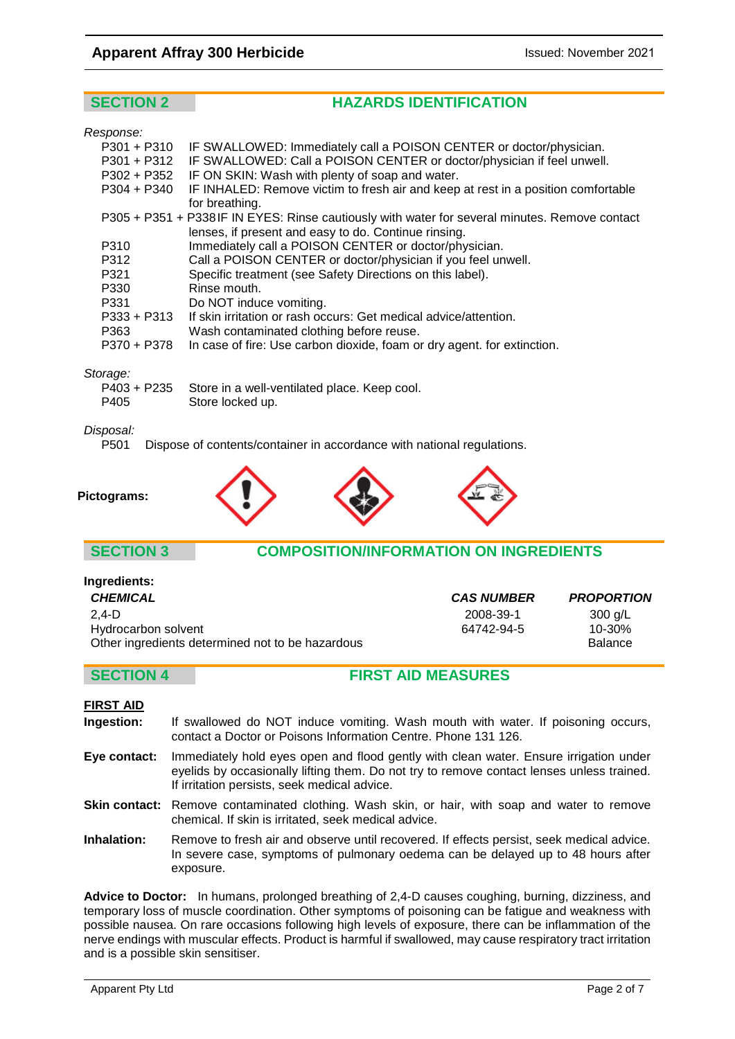# **Apparent Affray 300 Herbicide Issued: November 2021**

# **SECTION 2 HAZARDS IDENTIFICATION**

#### *Response:*

| $P301 + P310$ | IF SWALLOWED: Immediately call a POISON CENTER or doctor/physician.                           |
|---------------|-----------------------------------------------------------------------------------------------|
|               |                                                                                               |
| $P301 + P312$ | IF SWALLOWED: Call a POISON CENTER or doctor/physician if feel unwell.                        |
| P302 + P352   | IF ON SKIN: Wash with plenty of soap and water.                                               |
| $P304 + P340$ | IF INHALED: Remove victim to fresh air and keep at rest in a position comfortable             |
|               | for breathing.                                                                                |
|               | P305 + P351 + P338IF IN EYES: Rinse cautiously with water for several minutes. Remove contact |
|               | lenses, if present and easy to do. Continue rinsing.                                          |
| P310          | Immediately call a POISON CENTER or doctor/physician.                                         |
| P312          | Call a POISON CENTER or doctor/physician if you feel unwell.                                  |
| P321          | Specific treatment (see Safety Directions on this label).                                     |
| P330          | Rinse mouth.                                                                                  |
| P331          | Do NOT induce vomiting.                                                                       |
| $P333 + P313$ | If skin irritation or rash occurs: Get medical advice/attention.                              |
| P363          | Wash contaminated clothing before reuse.                                                      |
| P370 + P378   | In case of fire: Use carbon dioxide, foam or dry agent. for extinction.                       |
|               |                                                                                               |
|               |                                                                                               |

#### *Storage:*

|      | P403 + P235 Store in a well-ventilated place. Keep cool. |
|------|----------------------------------------------------------|
| P405 | Store locked up.                                         |

# *Disposal:*

**Pictograms:**

Dispose of contents/container in accordance with national regulations.



**Ingredients:**

### **SECTION 3 COMPOSITION/INFORMATION ON INGREDIENTS**

| myrcurents.                                      |                   |                   |
|--------------------------------------------------|-------------------|-------------------|
| <b>CHEMICAL</b>                                  | <b>CAS NUMBER</b> | <b>PROPORTION</b> |
| $2.4-D$                                          | 2008-39-1         | $300$ g/L         |
| Hydrocarbon solvent                              | 64742-94-5        | $10 - 30%$        |
| Other ingredients determined not to be hazardous |                   | <b>Balance</b>    |

### **SECTION 4 FIRST AID MEASURES**

#### **FIRST AID**

- **Ingestion:** If swallowed do NOT induce vomiting. Wash mouth with water. If poisoning occurs, contact a Doctor or Poisons Information Centre. Phone 131 126.
- **Eye contact:** Immediately hold eyes open and flood gently with clean water. Ensure irrigation under eyelids by occasionally lifting them. Do not try to remove contact lenses unless trained. If irritation persists, seek medical advice.
- **Skin contact:** Remove contaminated clothing. Wash skin, or hair, with soap and water to remove chemical. If skin is irritated, seek medical advice.
- **Inhalation:** Remove to fresh air and observe until recovered. If effects persist, seek medical advice. In severe case, symptoms of pulmonary oedema can be delayed up to 48 hours after exposure.

**Advice to Doctor:** In humans, prolonged breathing of 2,4-D causes coughing, burning, dizziness, and temporary loss of muscle coordination. Other symptoms of poisoning can be fatigue and weakness with possible nausea. On rare occasions following high levels of exposure, there can be inflammation of the nerve endings with muscular effects. Product is harmful if swallowed, may cause respiratory tract irritation and is a possible skin sensitiser.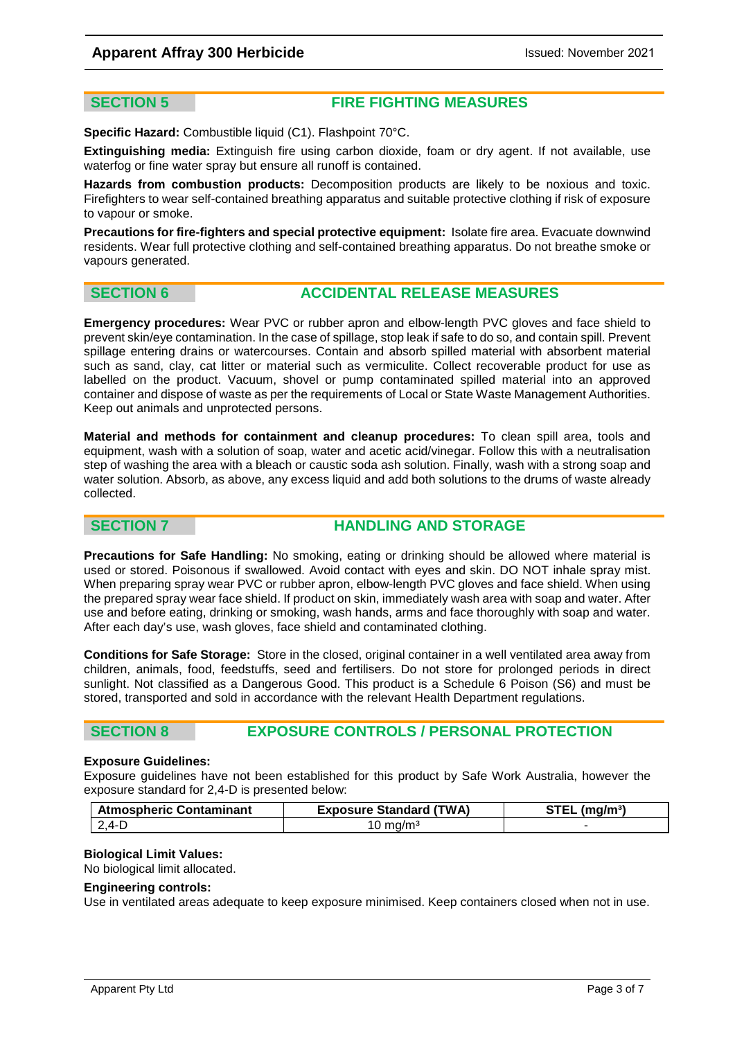### **Apparent Affray 300 Herbicide Intervention Apparent Affray 300 Herbicide Intervention Apparent Affray 300 Herbicide**

### **SECTION 5 FIRE FIGHTING MEASURES**

**Specific Hazard:** Combustible liquid (C1). Flashpoint 70°C.

**Extinguishing media:** Extinguish fire using carbon dioxide, foam or dry agent. If not available, use waterfog or fine water spray but ensure all runoff is contained.

**Hazards from combustion products:** Decomposition products are likely to be noxious and toxic. Firefighters to wear self-contained breathing apparatus and suitable protective clothing if risk of exposure to vapour or smoke.

**Precautions for fire-fighters and special protective equipment:** Isolate fire area. Evacuate downwind residents. Wear full protective clothing and self-contained breathing apparatus. Do not breathe smoke or vapours generated.

#### **SECTION 6 ACCIDENTAL RELEASE MEASURES**

**Emergency procedures:** Wear PVC or rubber apron and elbow-length PVC gloves and face shield to prevent skin/eye contamination. In the case of spillage, stop leak if safe to do so, and contain spill. Prevent spillage entering drains or watercourses. Contain and absorb spilled material with absorbent material such as sand, clay, cat litter or material such as vermiculite. Collect recoverable product for use as labelled on the product. Vacuum, shovel or pump contaminated spilled material into an approved container and dispose of waste as per the requirements of Local or State Waste Management Authorities. Keep out animals and unprotected persons.

**Material and methods for containment and cleanup procedures:** To clean spill area, tools and equipment, wash with a solution of soap, water and acetic acid/vinegar. Follow this with a neutralisation step of washing the area with a bleach or caustic soda ash solution. Finally, wash with a strong soap and water solution. Absorb, as above, any excess liquid and add both solutions to the drums of waste already collected.

### **SECTION 7 HANDLING AND STORAGE**

**Precautions for Safe Handling:** No smoking, eating or drinking should be allowed where material is used or stored. Poisonous if swallowed. Avoid contact with eyes and skin. DO NOT inhale spray mist. When preparing spray wear PVC or rubber apron, elbow-length PVC gloves and face shield. When using the prepared spray wear face shield. If product on skin, immediately wash area with soap and water. After use and before eating, drinking or smoking, wash hands, arms and face thoroughly with soap and water. After each day's use, wash gloves, face shield and contaminated clothing.

**Conditions for Safe Storage:** Store in the closed, original container in a well ventilated area away from children, animals, food, feedstuffs, seed and fertilisers. Do not store for prolonged periods in direct sunlight. Not classified as a Dangerous Good. This product is a Schedule 6 Poison (S6) and must be stored, transported and sold in accordance with the relevant Health Department regulations.

### **SECTION 8 EXPOSURE CONTROLS / PERSONAL PROTECTION**

#### **Exposure Guidelines:**

Exposure guidelines have not been established for this product by Safe Work Australia, however the exposure standard for 2,4-D is presented below:

| <b>Atmospheric Contaminant</b> | <b>Exposure Standard (TWA)</b> | $STEL$ (mg/m <sup>3</sup> ) |
|--------------------------------|--------------------------------|-----------------------------|
| $2.4 - D$                      | $10 \text{ mg/m}^3$            |                             |

#### **Biological Limit Values:**

No biological limit allocated.

#### **Engineering controls:**

Use in ventilated areas adequate to keep exposure minimised. Keep containers closed when not in use.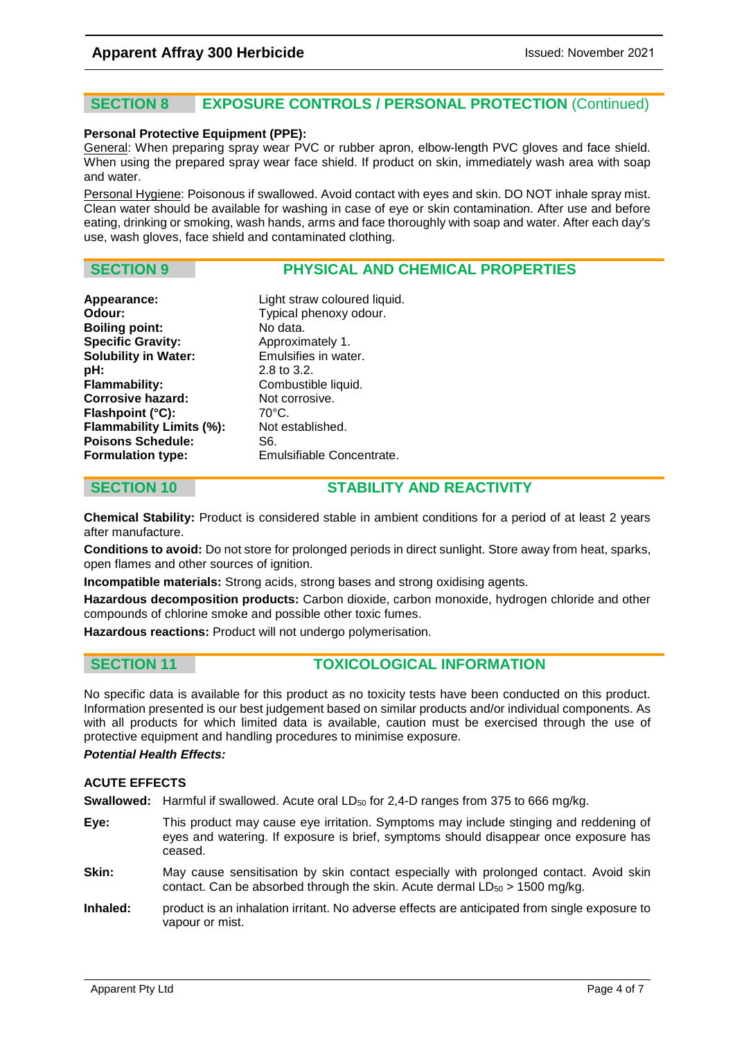# **SECTION 8 EXPOSURE CONTROLS / PERSONAL PROTECTION** (Continued)

#### **Personal Protective Equipment (PPE):**

General: When preparing spray wear PVC or rubber apron, elbow-length PVC gloves and face shield. When using the prepared spray wear face shield. If product on skin, immediately wash area with soap and water.

Personal Hygiene: Poisonous if swallowed. Avoid contact with eyes and skin. DO NOT inhale spray mist. Clean water should be available for washing in case of eye or skin contamination. After use and before eating, drinking or smoking, wash hands, arms and face thoroughly with soap and water. After each day's use, wash gloves, face shield and contaminated clothing.

### **SECTION 9 PHYSICAL AND CHEMICAL PROPERTIES**

| Appearance:                 | Light straw coloured liquid. |
|-----------------------------|------------------------------|
| Odour:                      | Typical phenoxy odour.       |
| <b>Boiling point:</b>       | No data.                     |
| <b>Specific Gravity:</b>    | Approximately 1.             |
| <b>Solubility in Water:</b> | Emulsifies in water.         |
| pH:                         | $2.8$ to $3.2$ .             |
| <b>Flammability:</b>        | Combustible liquid.          |
| <b>Corrosive hazard:</b>    | Not corrosive.               |
| Flashpoint (°C):            | 70°C.                        |
| Flammability Limits (%):    | Not established.             |
| <b>Poisons Schedule:</b>    | S6.                          |
| Formulation type:           | Emulsifiable Concentrate.    |

# **SECTION 10 STABILITY AND REACTIVITY**

**Chemical Stability:** Product is considered stable in ambient conditions for a period of at least 2 years after manufacture.

**Conditions to avoid:** Do not store for prolonged periods in direct sunlight. Store away from heat, sparks, open flames and other sources of ignition.

**Incompatible materials:** Strong acids, strong bases and strong oxidising agents.

**Hazardous decomposition products:** Carbon dioxide, carbon monoxide, hydrogen chloride and other compounds of chlorine smoke and possible other toxic fumes.

**Hazardous reactions:** Product will not undergo polymerisation.

### **SECTION 11 TOXICOLOGICAL INFORMATION**

No specific data is available for this product as no toxicity tests have been conducted on this product. Information presented is our best judgement based on similar products and/or individual components. As with all products for which limited data is available, caution must be exercised through the use of protective equipment and handling procedures to minimise exposure.

#### *Potential Health Effects:*

#### **ACUTE EFFECTS**

**Swallowed:** Harmful if swallowed. Acute oral LD<sub>50</sub> for 2,4-D ranges from 375 to 666 mg/kg.

- **Eye:** This product may cause eye irritation. Symptoms may include stinging and reddening of eyes and watering. If exposure is brief, symptoms should disappear once exposure has ceased.
- **Skin:** May cause sensitisation by skin contact especially with prolonged contact. Avoid skin contact. Can be absorbed through the skin. Acute dermal  $LD_{50} > 1500$  mg/kg.
- **Inhaled:** product is an inhalation irritant. No adverse effects are anticipated from single exposure to vapour or mist.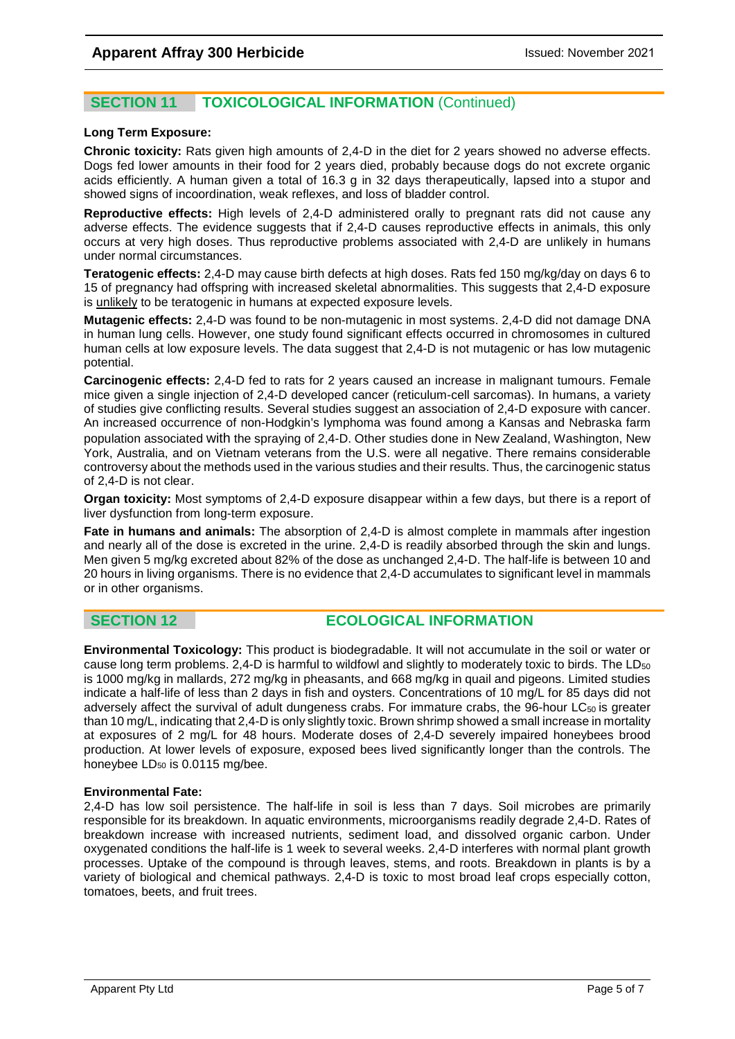# **SECTION 11 TOXICOLOGICAL INFORMATION** (Continued)

#### **Long Term Exposure:**

**Chronic toxicity:** Rats given high amounts of 2,4-D in the diet for 2 years showed no adverse effects. Dogs fed lower amounts in their food for 2 years died, probably because dogs do not excrete organic acids efficiently. A human given a total of 16.3 g in 32 days therapeutically, lapsed into a stupor and showed signs of incoordination, weak reflexes, and loss of bladder control.

**Reproductive effects:** High levels of 2,4-D administered orally to pregnant rats did not cause any adverse effects. The evidence suggests that if 2,4-D causes reproductive effects in animals, this only occurs at very high doses. Thus reproductive problems associated with 2,4-D are unlikely in humans under normal circumstances.

**Teratogenic effects:** 2,4-D may cause birth defects at high doses. Rats fed 150 mg/kg/day on days 6 to 15 of pregnancy had offspring with increased skeletal abnormalities. This suggests that 2,4-D exposure is unlikely to be teratogenic in humans at expected exposure levels.

**Mutagenic effects:** 2,4-D was found to be non-mutagenic in most systems. 2,4-D did not damage DNA in human lung cells. However, one study found significant effects occurred in chromosomes in cultured human cells at low exposure levels. The data suggest that 2,4-D is not mutagenic or has low mutagenic potential.

**Carcinogenic effects:** 2,4-D fed to rats for 2 years caused an increase in malignant tumours. Female mice given a single injection of 2,4-D developed cancer (reticulum-cell sarcomas). In humans, a variety of studies give conflicting results. Several studies suggest an association of 2,4-D exposure with cancer. An increased occurrence of non-Hodgkin's lymphoma was found among a Kansas and Nebraska farm population associated with the spraying of 2,4-D. Other studies done in New Zealand, Washington, New York, Australia, and on Vietnam veterans from the U.S. were all negative. There remains considerable controversy about the methods used in the various studies and their results. Thus, the carcinogenic status of 2,4-D is not clear.

**Organ toxicity:** Most symptoms of 2,4-D exposure disappear within a few days, but there is a report of liver dysfunction from long-term exposure.

**Fate in humans and animals:** The absorption of 2,4-D is almost complete in mammals after ingestion and nearly all of the dose is excreted in the urine. 2,4-D is readily absorbed through the skin and lungs. Men given 5 mg/kg excreted about 82% of the dose as unchanged 2,4-D. The half-life is between 10 and 20 hours in living organisms. There is no evidence that 2,4-D accumulates to significant level in mammals or in other organisms.

### **SECTION 12 ECOLOGICAL INFORMATION**

**Environmental Toxicology:** This product is biodegradable. It will not accumulate in the soil or water or cause long term problems. 2,4-D is harmful to wildfowl and slightly to moderately toxic to birds. The LD<sub>50</sub> is 1000 mg/kg in mallards, 272 mg/kg in pheasants, and 668 mg/kg in quail and pigeons. Limited studies indicate a half-life of less than 2 days in fish and oysters. Concentrations of 10 mg/L for 85 days did not adversely affect the survival of adult dungeness crabs. For immature crabs, the 96-hour LC<sub>50</sub> is greater than 10 mg/L, indicating that 2,4-D is only slightly toxic. Brown shrimp showed a small increase in mortality at exposures of 2 mg/L for 48 hours. Moderate doses of 2,4-D severely impaired honeybees brood production. At lower levels of exposure, exposed bees lived significantly longer than the controls. The honeybee LD<sub>50</sub> is 0.0115 mg/bee.

#### **Environmental Fate:**

2,4-D has low soil persistence. The half-life in soil is less than 7 days. Soil microbes are primarily responsible for its breakdown. In aquatic environments, microorganisms readily degrade 2,4-D. Rates of breakdown increase with increased nutrients, sediment load, and dissolved organic carbon. Under oxygenated conditions the half-life is 1 week to several weeks. 2,4-D interferes with normal plant growth processes. Uptake of the compound is through leaves, stems, and roots. Breakdown in plants is by a variety of biological and chemical pathways. 2,4-D is toxic to most broad leaf crops especially cotton, tomatoes, beets, and fruit trees.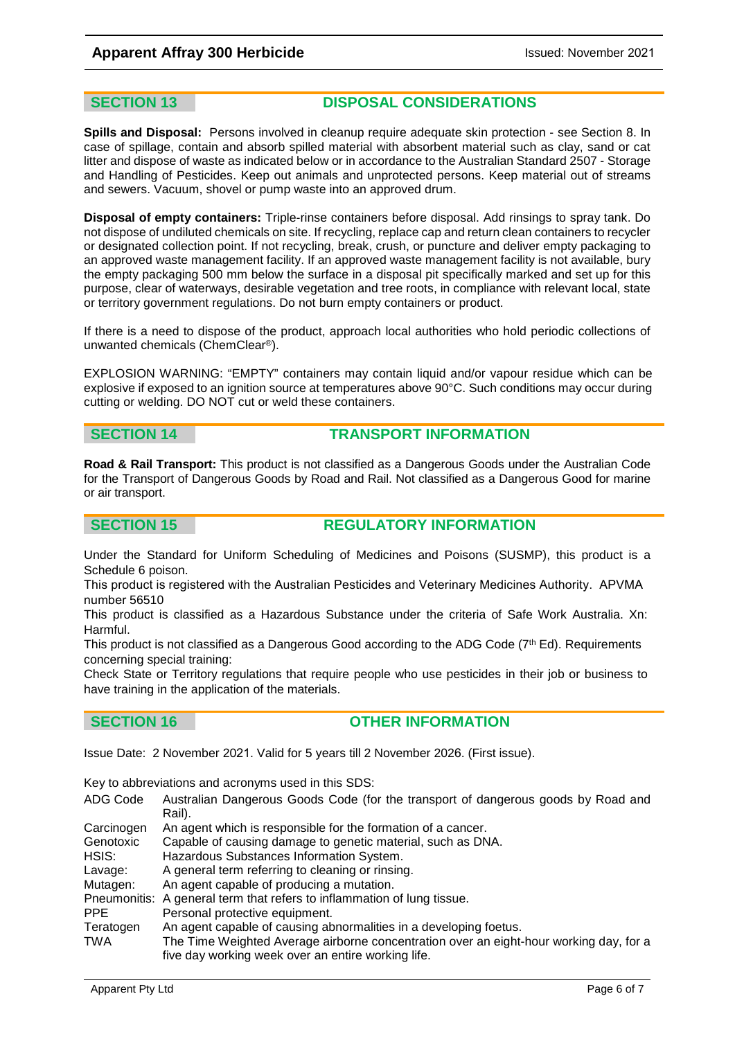### **Apparent Affray 300 Herbicide Issued: November 2021**

#### **SECTION 13 DISPOSAL CONSIDERATIONS**

**Spills and Disposal:** Persons involved in cleanup require adequate skin protection - see Section 8. In case of spillage, contain and absorb spilled material with absorbent material such as clay, sand or cat litter and dispose of waste as indicated below or in accordance to the Australian Standard 2507 - Storage and Handling of Pesticides. Keep out animals and unprotected persons. Keep material out of streams and sewers. Vacuum, shovel or pump waste into an approved drum.

**Disposal of empty containers:** Triple-rinse containers before disposal. Add rinsings to spray tank. Do not dispose of undiluted chemicals on site. If recycling, replace cap and return clean containers to recycler or designated collection point. If not recycling, break, crush, or puncture and deliver empty packaging to an approved waste management facility. If an approved waste management facility is not available, bury the empty packaging 500 mm below the surface in a disposal pit specifically marked and set up for this purpose, clear of waterways, desirable vegetation and tree roots, in compliance with relevant local, state or territory government regulations. Do not burn empty containers or product.

If there is a need to dispose of the product, approach local authorities who hold periodic collections of unwanted chemicals (ChemClear®).

EXPLOSION WARNING: "EMPTY" containers may contain liquid and/or vapour residue which can be explosive if exposed to an ignition source at temperatures above 90°C. Such conditions may occur during cutting or welding. DO NOT cut or weld these containers.

### **SECTION 14 TRANSPORT INFORMATION**

**Road & Rail Transport:** This product is not classified as a Dangerous Goods under the Australian Code for the Transport of Dangerous Goods by Road and Rail. Not classified as a Dangerous Good for marine or air transport.

### **SECTION 15 REGULATORY INFORMATION**

Under the Standard for Uniform Scheduling of Medicines and Poisons (SUSMP), this product is a Schedule 6 poison.

This product is registered with the Australian Pesticides and Veterinary Medicines Authority. APVMA number 56510

This product is classified as a Hazardous Substance under the criteria of Safe Work Australia. Xn: Harmful.

This product is not classified as a Dangerous Good according to the ADG Code (7th Ed). Requirements concerning special training:

Check State or Territory regulations that require people who use pesticides in their job or business to have training in the application of the materials.

#### **SECTION 16 OTHER INFORMATION**

Issue Date: 2 November 2021. Valid for 5 years till 2 November 2026. (First issue).

Key to abbreviations and acronyms used in this SDS:

- ADG Code Australian Dangerous Goods Code (for the transport of dangerous goods by Road and Rail).
- Carcinogen An agent which is responsible for the formation of a cancer. Genotoxic Capable of causing damage to genetic material, such as DNA.<br>HSIS: Hazardous Substances Information System. HSIS: Hazardous Substances Information System.<br>Lavage: A general term referring to cleaning or rinsing A general term referring to cleaning or rinsing. Mutagen: An agent capable of producing a mutation. Pneumonitis: A general term that refers to inflammation of lung tissue.<br>PPE Personal protective equipment. Personal protective equipment. Teratogen An agent capable of causing abnormalities in a developing foetus.
- TWA The Time Weighted Average airborne concentration over an eight-hour working day, for a five day working week over an entire working life.